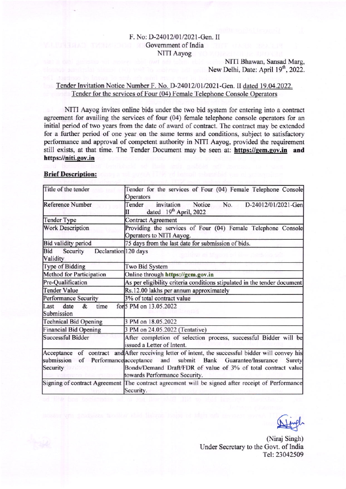# F. No: D-24012/01/2021-Gen. II Government of India NITI Aayog

# NITI Bhawan, Sansad Marg, New Delhi, Date: April 19<sup>th</sup>, 2022.

### Tender Invitation Notice Number F. No. D-24012/01/2021-Gen. II dated 19.04.2022. Tender for the services of Four (04) Female Telephone Console Operators

NITI Aayog invites online bids under the two bid system for entering into a contract agreement for availing the services of four (04) female telephone console operators for an initial period of two years from the date of award of contract. The contract may be extended for a further period of one year on the same terms and conditions, subject to satisfactory performance and approval of competent authority in NITI Aayog, provided the requirement still exists, at that time. The Tender Document may be seen at: https://gem.gov.in and https://niti.gov.in

#### **Brief Description:**

| Title of the tender                                 | Tender for the services of Four (04) Female Telephone Console<br>Operators                                                                                                                                                                               |
|-----------------------------------------------------|----------------------------------------------------------------------------------------------------------------------------------------------------------------------------------------------------------------------------------------------------------|
| Reference Number                                    | Tender<br>invitation<br>Notice<br>No.<br>D-24012/01/2021-Gen<br>dated 19th April, 2022<br>Н                                                                                                                                                              |
| <b>Tender Type</b>                                  | <b>Contract Agreement</b>                                                                                                                                                                                                                                |
| Work Description                                    | Providing the services of Four (04) Female Telephone Console<br>Operators to NITI Aayog.                                                                                                                                                                 |
| Bid validity period                                 | 75 days from the last date for submission of bids.                                                                                                                                                                                                       |
| Declaration 120 days<br>Security<br>Bid<br>Validity |                                                                                                                                                                                                                                                          |
| Type of Bidding                                     | Two Bid System                                                                                                                                                                                                                                           |
| Method for Participation                            | Online through https://gem.gov.in                                                                                                                                                                                                                        |
| Pre-Qualification                                   | As per eligibility criteria conditions stipulated in the tender document                                                                                                                                                                                 |
| <b>Tender Value</b>                                 | Rs.12.00 lakhs per annum approximately                                                                                                                                                                                                                   |
| <b>Performance Security</b>                         | 3% of total contract value                                                                                                                                                                                                                               |
| time<br>&<br>Last<br>date<br>Submission             | for 5 PM on 13.05.2022                                                                                                                                                                                                                                   |
| Technical Bid Opening                               | 3 PM on 18.05.2022                                                                                                                                                                                                                                       |
| Financial Bid Opening                               | 3 PM on 24.05.2022 (Tentative)                                                                                                                                                                                                                           |
| <b>Successful Bidder</b>                            | After completion of selection process, successful Bidder will be<br>issued a Letter of Intent.                                                                                                                                                           |
| submission<br>of Performance acceptance<br>Security | Acceptance of contract and After receiving letter of intent, the successful bidder will convey his<br>and<br>submit Bank Guarantee/Insurance<br>Surety<br>Bonds/Demand Draft/FDR of value of 3% of total contract value<br>towards Performance Security. |
|                                                     | Signing of contract Agreement The contract agreement will be signed after receipt of Performance<br>Security.                                                                                                                                            |

(Niraj Singh) Under Secretary to the Govt. of India Tel: 23042509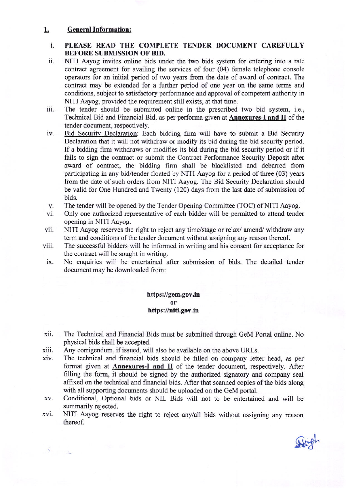# 1. General Information:

### i. PLEASE READ THE COMPLETE TENDER DOCUMENT CAREFULLY BEFORE SUBMISSION OF BID.

- ii. NITI Aayog invites online bids under the two bids system for entering into a rate contract agreement for availing the services of four  $(04)$  female telephone console operators for an initial period of two years from the date of award of contact. The contract may be extended for a further period of one year on the same terms and conditions, subject to satisfactory performance and approval of competent authority in NITI Aayog, provided the requirement still exists, at that time.
- iii. The tender should be submitted online in the prescribed two bid system, i.e., Technical Bid and Financial Bid, as per performa given at **Annexures-I and II** of the tender document, respectively.
- iv. Bid Securitv Declaration: Each bidding firm will have to submit a Bid Security Declaration that it will not withdraw or modify its bid during the bid security period. If a bidding firm withdraws or modifies its bid during the bid security period or if it fails to sign the contract or submit the Contract Performance Security Deposit after award of contract, the bidding firm shall be blacklisted and debaned from participating in any bid/tender floated by NITI Aayog for a period of three (03) years from the date of such orders from NITI Aayog. The Bid Security Declaration should be valid for One Hundred and Twenty (120) days from the last date of submission of bids.
- v. The tender will be opened by the Tender Opening Committee (TOC) of NITI Aayog.
- vi. Only one authorized representative of each bidder will be permifted to attend tender opening in NITI Aayog.
- vii. NITI Aayog reserves the right to reject any time/stage or relax/ amend/ withdraw any term and conditions of the tender document without assigning any reason thereof.
- viii. The successful bidders will be informed in writing and his consent for acceptance for the contract will be sought in writing.
- ix. No enquiries will be entertained after submission of bids. The detailed tender document may be downloaded from:

### https://gem.gov.in https://niti.gov.in or

- xii. The Technical and Financial Bids must be submitted through GeM Portal online. No physical bids sha1l be accepted.
- xiii. Any corrigendum, if issued, will also be available on the above URLs.
- xiv The technical and financial bids should be filled on company letter head, as per format given at **Annexures-I and II** of the tender document, respectively. After filling the form, it should be signed by the authorized signatory and company seal affixed on the technical and financial bids. After that scanned copies of the bids along with all supporting documents should be uploaded on the GeM portal.
- Conditional, Optional bids or NIL Bids will not to be entertained and will be XV. summarily rejected.
- NITI Aayog reserves the right to reject any/all bids without assigning any reason thereof. xv1

**Stingh**